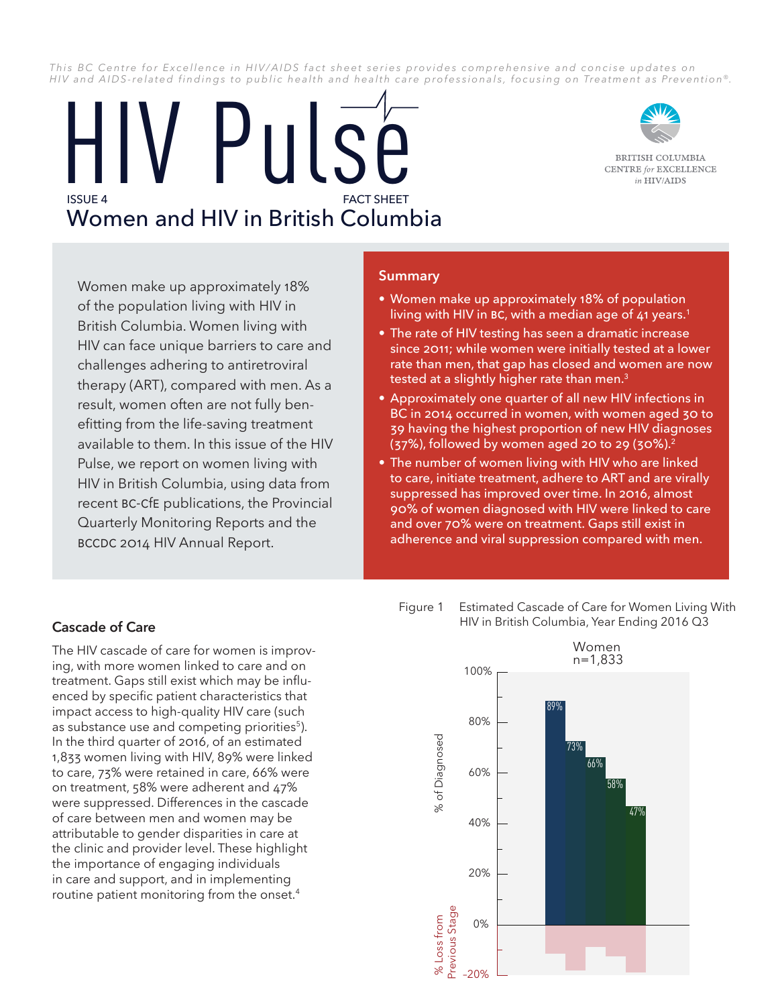This BC Centre for Excellence in HIV/AIDS fact sheet series provides comprehensive and concise updates on *HIV and AIDS-related findings to public health and health care professionals, focusing on Treatment as Prevention* ®*.*

# **FACT SHEFT** Women and HIV in British Columbia HIV Pulse



BRITISH COLUMBIA **CENTRE** for **EXCELLENCE** in HIV/AIDS

Women make up approximately 18% of the population living with HIV in British Columbia. Women living with HIV can face unique barriers to care and challenges adhering to antiretroviral therapy (ART), compared with men. As a result, women often are not fully benefitting from the life-saving treatment available to them. In this issue of the HIV Pulse, we report on women living with HIV in British Columbia, using data from recent BC-CfE publications, the Provincial Quarterly Monitoring Reports and the BCCDC 2014 HIV Annual Report.

### **Summary**

- • Women make up approximately 18% of population living with HIV in BC, with a median age of 41 years.<sup>1</sup>
- The rate of HIV testing has seen a dramatic increase since 2011; while women were initially tested at a lower rate than men, that gap has closed and women are now tested at a slightly higher rate than men.<sup>3</sup>
- Approximately one quarter of all new HIV infections in BC in 2014 occurred in women, with women aged 30 to 39 having the highest proportion of new HIV diagnoses (37%), followed by women aged 20 to 29 (30%).<sup>2</sup>
- The number of women living with HIV who are linked to care, initiate treatment, adhere to ART and are virally suppressed has improved over time. In 2016, almost 90% of women diagnosed with HIV were linked to care and over 70% were on treatment. Gaps still exist in adherence and viral suppression compared with men.

## **Cascade of Care**

The HIV cascade of care for women is improving, with more women linked to care and on treatment. Gaps still exist which may be influenced by specific patient characteristics that impact access to high-quality HIV care (such as substance use and competing priorities<sup>5</sup>). In the third quarter of 2016, of an estimated 1,833 women living with HIV, 89% were linked to care, 73% were retained in care, 66% were on treatment, 58% were adherent and 47% were suppressed. Differences in the cascade of care between men and women may be attributable to gender disparities in care at the clinic and provider level. These highlight the importance of engaging individuals in care and support, and in implementing routine patient monitoring from the onset.<sup>4</sup>